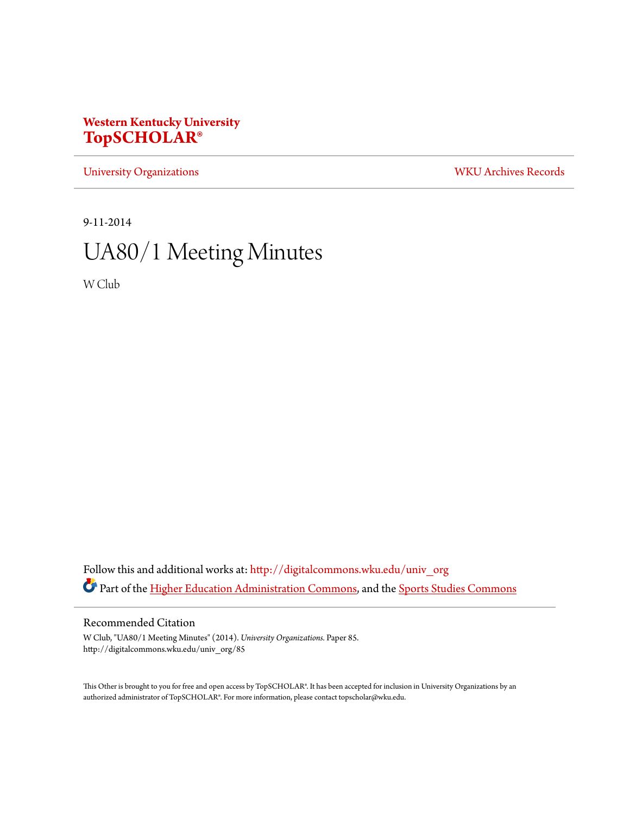# **Western Kentucky University [TopSCHOLAR®](http://digitalcommons.wku.edu?utm_source=digitalcommons.wku.edu%2Funiv_org%2F85&utm_medium=PDF&utm_campaign=PDFCoverPages)**

[University Organizations](http://digitalcommons.wku.edu/univ_org?utm_source=digitalcommons.wku.edu%2Funiv_org%2F85&utm_medium=PDF&utm_campaign=PDFCoverPages) [WKU Archives Records](http://digitalcommons.wku.edu/dlsc_ua_records?utm_source=digitalcommons.wku.edu%2Funiv_org%2F85&utm_medium=PDF&utm_campaign=PDFCoverPages)

9-11-2014

# UA80/1 Meeting Minutes

W Club

Follow this and additional works at: [http://digitalcommons.wku.edu/univ\\_org](http://digitalcommons.wku.edu/univ_org?utm_source=digitalcommons.wku.edu%2Funiv_org%2F85&utm_medium=PDF&utm_campaign=PDFCoverPages) Part of the [Higher Education Administration Commons](http://network.bepress.com/hgg/discipline/791?utm_source=digitalcommons.wku.edu%2Funiv_org%2F85&utm_medium=PDF&utm_campaign=PDFCoverPages), and the [Sports Studies Commons](http://network.bepress.com/hgg/discipline/1198?utm_source=digitalcommons.wku.edu%2Funiv_org%2F85&utm_medium=PDF&utm_campaign=PDFCoverPages)

Recommended Citation

W Club, "UA80/1 Meeting Minutes" (2014). *University Organizations.* Paper 85. http://digitalcommons.wku.edu/univ\_org/85

This Other is brought to you for free and open access by TopSCHOLAR®. It has been accepted for inclusion in University Organizations by an authorized administrator of TopSCHOLAR®. For more information, please contact topscholar@wku.edu.